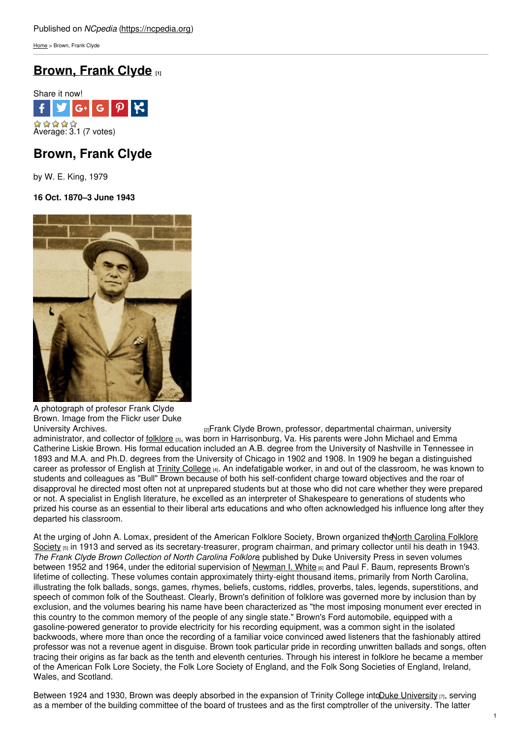[Home](https://ncpedia.org/) > Brown, Frank Clyde

# **[Brown,](https://ncpedia.org/biography/brown-frank-clyde) Frank Clyde [1]**



# **Brown, Frank Clyde**

by W. E. King, 1979

### **16 Oct. 1870–3 June 1943**



A photograph of profesor Frank Clyde Brown. Image from the Flickr user Duke<br>University Archives.

[2]Frank Clyde Brown, professor, departmental chairman, university administrator, and collector of [folklore](https://ncpedia.org/folklore) [3], was born in Harrisonburg, Va. His parents were John Michael and Emma Catherine Liskie Brown. His formal education included an A.B. degree from the University of Nashville in Tennessee in 1893 and M.A. and Ph.D. degrees from the University of Chicago in 1902 and 1908. In 1909 he began a distinguished career as professor of English at Trinity [College](https://ncpedia.org/trinity-college) [4]. An indefatigable worker, in and out of the classroom, he was known to students and colleagues as "Bull" Brown because of both his self-confident charge toward objectives and the roar of disapproval he directed most often not at unprepared students but at those who did not care whether they were prepared or not. A specialist in English literature, he excelled as an interpreter of Shakespeare to generations of students who prized his course as an essential to their liberal arts educations and who often acknowledged his influence long after they departed his classroom.

At the urging of John A. Lomax, president of the American Folklore Society, Brown organized the North Carolina Folklore Society [5] in 1913 and served as its [secretary-treasurer,](https://ncpedia.org/folklore-part-2types-folklore-and-n) program chairman, and primary collector until his death in 1943. *The Frank Clyde Brown Collection of North Carolina Folklore*, published by Duke University Press in seven volumes between 1952 and 1964, under the editorial supervision of [Newman](https://ncpedia.org/biography/white-newman-ivey) I. White [6] and Paul F. Baum, represents Brown's lifetime of collecting. These volumes contain approximately thirty-eight thousand items, primarily from North Carolina, illustrating the folk ballads, songs, games, rhymes, beliefs, customs, riddles, proverbs, tales, legends, superstitions, and speech of common folk of the Southeast. Clearly, Brown's definition of folklore was governed more by inclusion than by exclusion, and the volumes bearing his name have been characterized as "the most imposing monument ever erected in this country to the common memory of the people of any single state." Brown's Ford automobile, equipped with a gasoline-powered generator to provide electricity for his recording equipment, was a common sight in the isolated backwoods, where more than once the recording of a familiar voice convinced awed listeners that the fashionably attired professor was not a revenue agent in disguise. Brown took particular pride in recording unwritten ballads and songs, often tracing their origins as far back as the tenth and eleventh centuries. Through his interest in folklore he became a member of the American Folk Lore Society, the Folk Lore Society of England, and the Folk Song Societies of England, Ireland, Wales, and Scotland.

Between 1924 and 1930, Brown was deeply absorbed in the expansion of Trinity College into Duke [University](https://ncpedia.org/duke-university)  $r_1$ , serving as a member of the building committee of the board of trustees and as the first comptroller of the university. The latter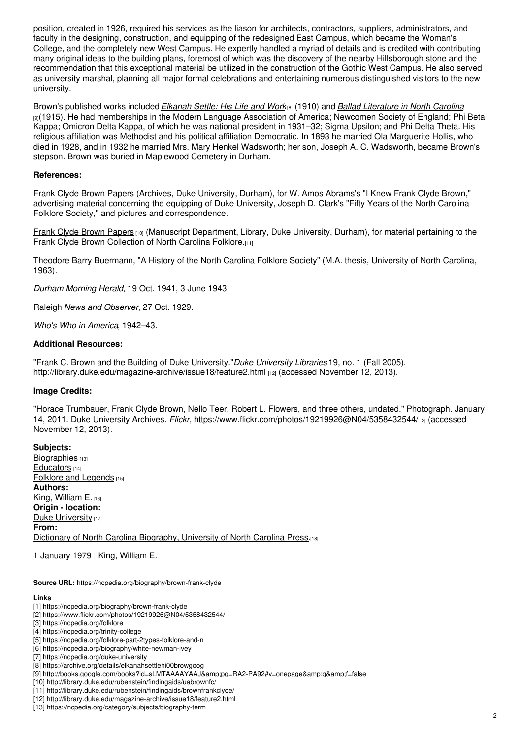position, created in 1926, required his services as the liason for architects, contractors, suppliers, administrators, and faculty in the designing, construction, and equipping of the redesigned East Campus, which became the Woman's College, and the completely new West Campus. He expertly handled a myriad of details and is credited with contributing many original ideas to the building plans, foremost of which was the discovery of the nearby Hillsborough stone and the recommendation that this exceptional material be utilized in the construction of the Gothic West Campus. He also served as university marshal, planning all major formal celebrations and entertaining numerous distinguished visitors to the new university.

Brown's published works included *[Elkanah](https://archive.org/details/elkanahsettlehi00browgoog) Settle: His Life and Work*[8] (1910) and *Ballad [Literature](http://books.google.com/books?id=sLMTAAAAYAAJ&pg=RA2-PA92#v=onepage&q&f=false) in North Carolina* [9](1915). He had memberships in the Modern Language Association of America; Newcomen Society of England; Phi Beta Kappa; Omicron Delta Kappa, of which he was national president in 1931–32; Sigma Upsilon; and Phi Delta Theta. His religious affiliation was Methodist and his political affiliation Democratic. In 1893 he married Ola Marguerite Hollis, who died in 1928, and in 1932 he married Mrs. Mary Henkel Wadsworth; her son, Joseph A. C. Wadsworth, became Brown's stepson. Brown was buried in Maplewood Cemetery in Durham.

### **References:**

Frank Clyde Brown Papers (Archives, Duke University, Durham), for W. Amos Abrams's "I Knew Frank Clyde Brown," advertising material concerning the equipping of Duke University, Joseph D. Clark's "Fifty Years of the North Carolina Folklore Society," and pictures and correspondence.

Frank Clyde Brown [Papers](http://library.duke.edu/rubenstein/findingaids/uabrownfc/) [10] (Manuscript Department, Library, Duke University, Durham), for material pertaining to the Frank Clyde Brown [Collection](http://library.duke.edu/rubenstein/findingaids/brownfrankclyde/) of North Carolina Folklore.[11]

Theodore Barry Buermann, "A History of the North Carolina Folklore Society" (M.A. thesis, University of North Carolina, 1963).

*Durham Morning Herald*, 19 Oct. 1941, 3 June 1943.

Raleigh *News and Observer*, 27 Oct. 1929.

*Who's Who in America*, 1942–43.

#### **Additional Resources:**

"Frank C. Brown and the Building of Duke University."*Duke University Libraries* 19, no. 1 (Fall 2005). <http://library.duke.edu/magazine-archive/issue18/feature2.html> [12] (accessed November 12, 2013).

#### **Image Credits:**

"Horace Trumbauer, Frank Clyde Brown, Nello Teer, Robert L. Flowers, and three others, undated." Photograph. January 14, 2011. Duke University Archives. *Flickr,* <https://www.flickr.com/photos/19219926@N04/5358432544/> [2] (accessed November 12, 2013).

**Subjects:** [Biographies](https://ncpedia.org/category/subjects/biography-term) [13] [Educators](https://ncpedia.org/category/subjects/educators) [14] Folklore and [Legends](https://ncpedia.org/category/subjects/folklore) [15] **Authors:** King, [William](https://ncpedia.org/category/authors/king-william-e) E. [16] **Origin - location:** Duke [University](https://ncpedia.org/category/origin-location/piedmon-34) [17] **From:** Dictionary of North Carolina [Biography,](https://ncpedia.org/category/entry-source/dictionary-no) University of North Carolina Press.[18]

1 January 1979 | King, William E.

**Source URL:** https://ncpedia.org/biography/brown-frank-clyde

#### **Links**

[2] https://www.flickr.com/photos/19219926@N04/5358432544/

<sup>[1]</sup> https://ncpedia.org/biography/brown-frank-clyde

<sup>[3]</sup> https://ncpedia.org/folklore

<sup>[4]</sup> https://ncpedia.org/trinity-college

<sup>[5]</sup> https://ncpedia.org/folklore-part-2types-folklore-and-n

<sup>[6]</sup> https://ncpedia.org/biography/white-newman-ivey

<sup>[7]</sup> https://ncpedia.org/duke-university

<sup>[8]</sup> https://archive.org/details/elkanahsettlehi00browgoog

<sup>[9]</sup> http://books.google.com/books?id=sLMTAAAAYAAJ&pg=RA2-PA92#v=onepage&q&f=false

<sup>[10]</sup> http://library.duke.edu/rubenstein/findingaids/uabrownfc/

<sup>[11]</sup> http://library.duke.edu/rubenstein/findingaids/brownfrankclyde/

<sup>[12]</sup> http://library.duke.edu/magazine-archive/issue18/feature2.html

<sup>[13]</sup> https://ncpedia.org/category/subjects/biography-term